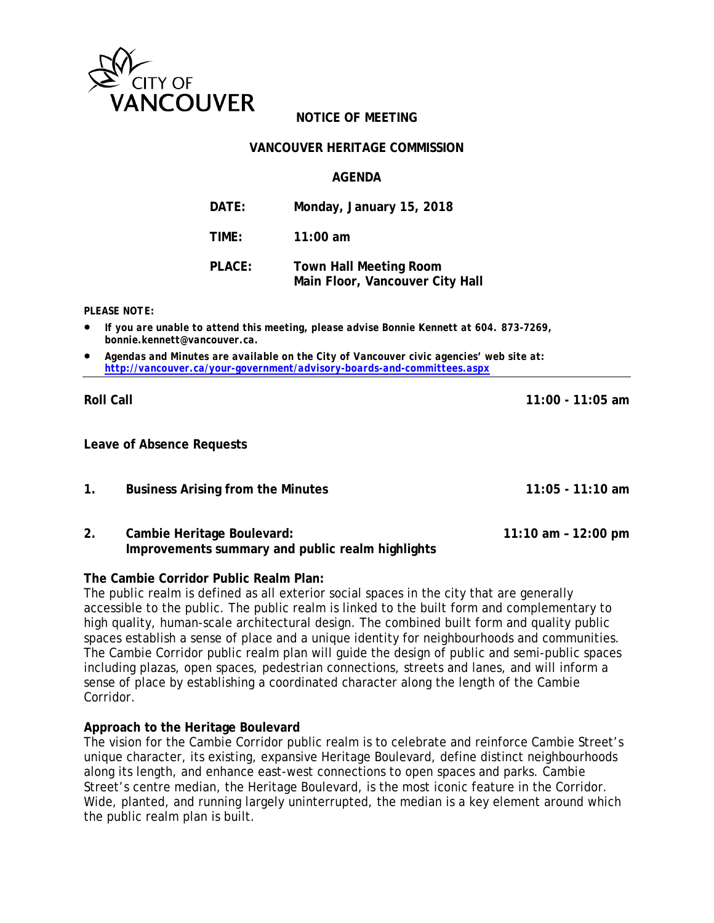

# **NOTICE OF MEETING**

### **VANCOUVER HERITAGE COMMISSION**

### **AGENDA**

| DATE:  | Monday, January 15, 2018                                         |
|--------|------------------------------------------------------------------|
| TIME:  | $11:00$ am                                                       |
| PLACE: | <b>Town Hall Meeting Room</b><br>Main Floor, Vancouver City Hall |

#### *PLEASE NOTE:*

- *If you are unable to attend this meeting, please advise Bonnie Kennett at 604. 873-7269, bonnie.kennett@vancouver.ca.*
- *Agendas and Minutes are available on the City of Vancouver civic agencies' web site at: <http://vancouver.ca/your-government/advisory-boards-and-committees.aspx>*

#### **Roll Call 11:00 - 11:05 am**

**Leave of Absence Requests**

- **1. Business Arising from the Minutes 11:05 11:10 am**
- **2. Cambie Heritage Boulevard: 11:10 am 12:00 pm Improvements summary and public realm highlights**

### **The Cambie Corridor Public Realm Plan:**

The public realm is defined as all exterior social spaces in the city that are generally accessible to the public. The public realm is linked to the built form and complementary to high quality, human-scale architectural design. The combined built form and quality public spaces establish a sense of place and a unique identity for neighbourhoods and communities. The Cambie Corridor public realm plan will guide the design of public and semi-public spaces including plazas, open spaces, pedestrian connections, streets and lanes, and will inform a sense of place by establishing a coordinated character along the length of the Cambie Corridor.

### **Approach to the Heritage Boulevard**

The vision for the Cambie Corridor public realm is to celebrate and reinforce Cambie Street's unique character, its existing, expansive Heritage Boulevard, define distinct neighbourhoods along its length, and enhance east-west connections to open spaces and parks. Cambie Street's centre median, the Heritage Boulevard, is the most iconic feature in the Corridor. Wide, planted, and running largely uninterrupted, the median is a key element around which the public realm plan is built.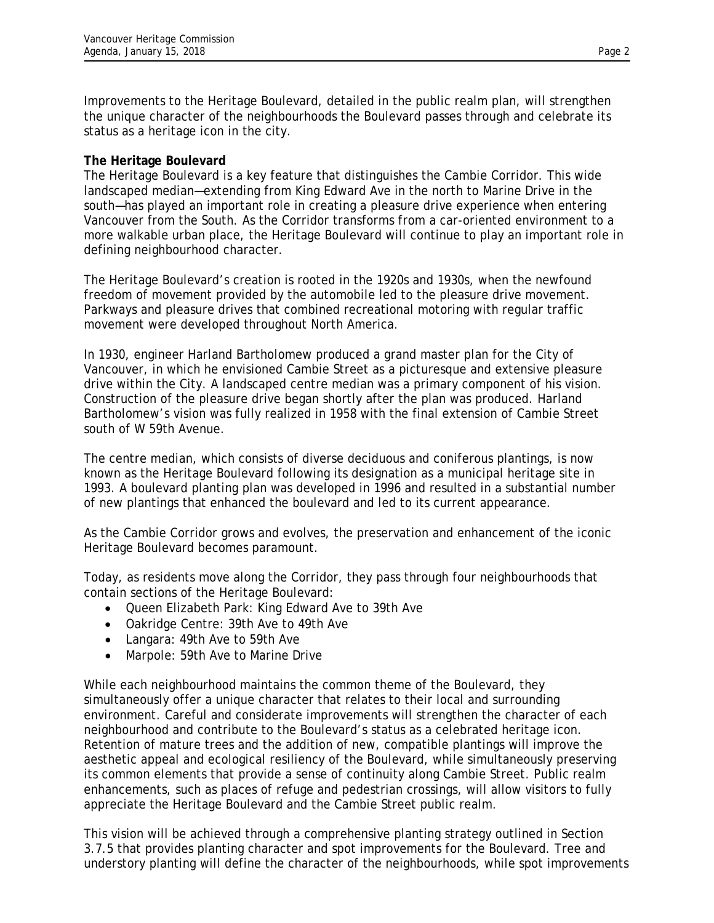Improvements to the Heritage Boulevard, detailed in the public realm plan, will strengthen the unique character of the neighbourhoods the Boulevard passes through and celebrate its status as a heritage icon in the city.

## **The Heritage Boulevard**

The Heritage Boulevard is a key feature that distinguishes the Cambie Corridor. This wide landscaped median—extending from King Edward Ave in the north to Marine Drive in the south—has played an important role in creating a pleasure drive experience when entering Vancouver from the South. As the Corridor transforms from a car-oriented environment to a more walkable urban place, the Heritage Boulevard will continue to play an important role in defining neighbourhood character.

The Heritage Boulevard's creation is rooted in the 1920s and 1930s, when the newfound freedom of movement provided by the automobile led to the pleasure drive movement. Parkways and pleasure drives that combined recreational motoring with regular traffic movement were developed throughout North America.

In 1930, engineer Harland Bartholomew produced a grand master plan for the City of Vancouver, in which he envisioned Cambie Street as a picturesque and extensive pleasure drive within the City. A landscaped centre median was a primary component of his vision. Construction of the pleasure drive began shortly after the plan was produced. Harland Bartholomew's vision was fully realized in 1958 with the final extension of Cambie Street south of W 59th Avenue.

The centre median, which consists of diverse deciduous and coniferous plantings, is now known as the Heritage Boulevard following its designation as a municipal heritage site in 1993. A boulevard planting plan was developed in 1996 and resulted in a substantial number of new plantings that enhanced the boulevard and led to its current appearance.

As the Cambie Corridor grows and evolves, the preservation and enhancement of the iconic Heritage Boulevard becomes paramount.

Today, as residents move along the Corridor, they pass through four neighbourhoods that contain sections of the Heritage Boulevard:

- Queen Elizabeth Park: King Edward Ave to 39th Ave
- Oakridge Centre: 39th Ave to 49th Ave
- Langara: 49th Ave to 59th Ave
- Marpole: 59th Ave to Marine Drive

While each neighbourhood maintains the common theme of the Boulevard, they simultaneously offer a unique character that relates to their local and surrounding environment. Careful and considerate improvements will strengthen the character of each neighbourhood and contribute to the Boulevard's status as a celebrated heritage icon. Retention of mature trees and the addition of new, compatible plantings will improve the aesthetic appeal and ecological resiliency of the Boulevard, while simultaneously preserving its common elements that provide a sense of continuity along Cambie Street. Public realm enhancements, such as places of refuge and pedestrian crossings, will allow visitors to fully appreciate the Heritage Boulevard and the Cambie Street public realm.

This vision will be achieved through a comprehensive planting strategy outlined in Section 3.7.5 that provides planting character and spot improvements for the Boulevard. Tree and understory planting will define the character of the neighbourhoods, while spot improvements